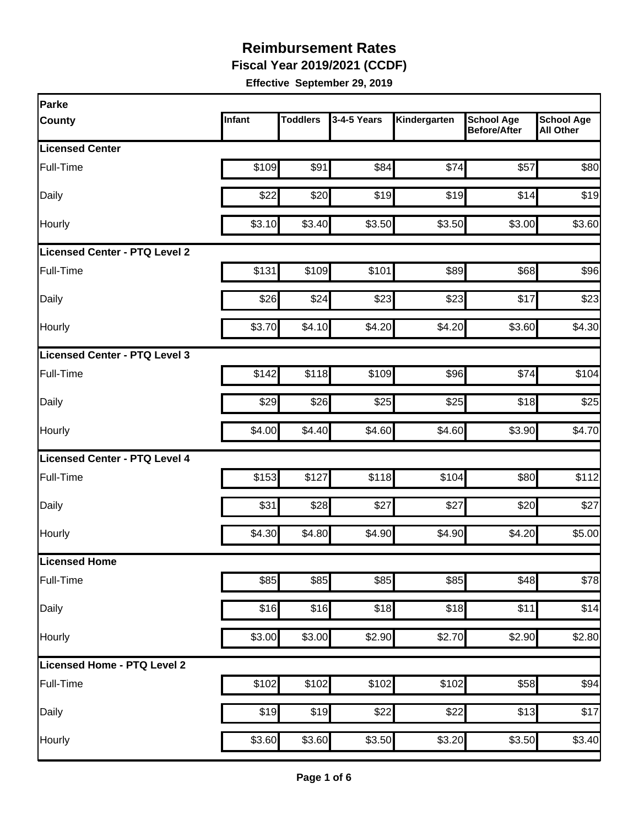**Fiscal Year 2019/2021 (CCDF)**

| Parke                                |        |                 |             |              |                                          |                                       |
|--------------------------------------|--------|-----------------|-------------|--------------|------------------------------------------|---------------------------------------|
| <b>County</b>                        | Infant | <b>Toddlers</b> | 3-4-5 Years | Kindergarten | <b>School Age</b><br><b>Before/After</b> | <b>School Age</b><br><b>All Other</b> |
| <b>Licensed Center</b>               |        |                 |             |              |                                          |                                       |
| Full-Time                            | \$109  | \$91            | \$84        | \$74         | \$57                                     | \$80                                  |
| Daily                                | \$22   | \$20            | \$19        | \$19         | \$14                                     | \$19                                  |
| Hourly                               | \$3.10 | \$3.40          | \$3.50      | \$3.50       | \$3.00                                   | \$3.60                                |
| <b>Licensed Center - PTQ Level 2</b> |        |                 |             |              |                                          |                                       |
| Full-Time                            | \$131  | \$109           | \$101       | \$89         | \$68                                     | \$96                                  |
| Daily                                | \$26   | \$24            | \$23        | \$23         | \$17                                     | \$23                                  |
| <b>Hourly</b>                        | \$3.70 | \$4.10          | \$4.20      | \$4.20       | \$3.60                                   | \$4.30                                |
| Licensed Center - PTQ Level 3        |        |                 |             |              |                                          |                                       |
| Full-Time                            | \$142  | \$118           | \$109       | \$96         | \$74                                     | \$104                                 |
| Daily                                | \$29   | \$26            | \$25        | \$25         | \$18                                     | \$25                                  |
| Hourly                               | \$4.00 | \$4.40          | \$4.60      | \$4.60       | \$3.90                                   | \$4.70                                |
| <b>Licensed Center - PTQ Level 4</b> |        |                 |             |              |                                          |                                       |
| Full-Time                            | \$153  | \$127           | \$118       | \$104        | \$80                                     | \$112                                 |
| Daily                                | \$31   | \$28            | \$27        | \$27         | \$20                                     | \$27                                  |
| Hourly                               | \$4.30 | \$4.80          | \$4.90      | \$4.90       | \$4.20                                   | \$5.00                                |
| Licensed Home                        |        |                 |             |              |                                          |                                       |
| Full-Time                            | \$85   | \$85            | \$85        | \$85         | \$48                                     | \$78                                  |
| Daily                                | \$16   | \$16            | \$18        | \$18         | \$11                                     | \$14                                  |
| Hourly                               | \$3.00 | \$3.00          | \$2.90      | \$2.70       | \$2.90                                   | \$2.80                                |
| Licensed Home - PTQ Level 2          |        |                 |             |              |                                          |                                       |
| Full-Time                            | \$102  | \$102           | \$102       | \$102        | \$58                                     | \$94                                  |
| Daily                                | \$19   | \$19            | \$22        | \$22         | \$13                                     | \$17                                  |
| Hourly                               | \$3.60 | \$3.60          | \$3.50      | \$3.20       | \$3.50                                   | \$3.40                                |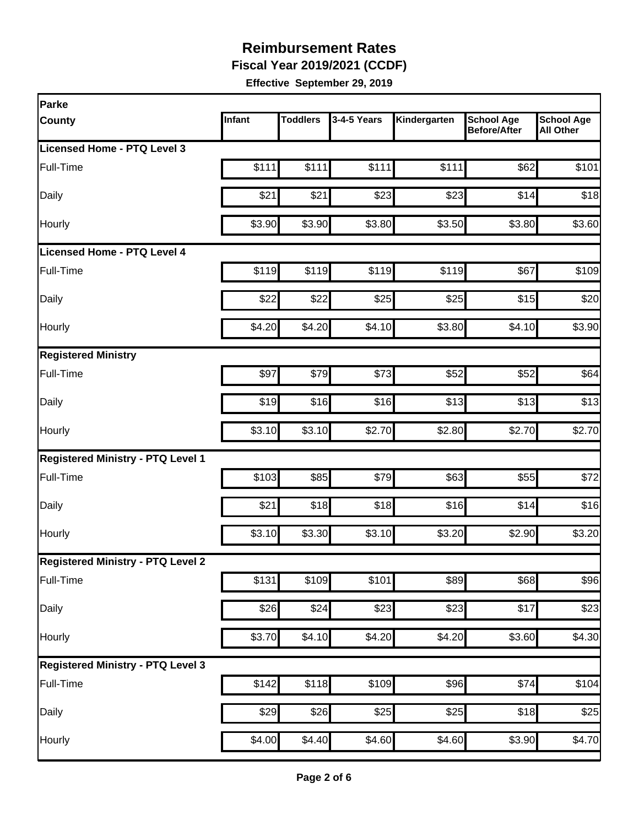**Fiscal Year 2019/2021 (CCDF)**

| Parke                                    |        |                 |             |              |                                          |                                       |
|------------------------------------------|--------|-----------------|-------------|--------------|------------------------------------------|---------------------------------------|
| <b>County</b>                            | Infant | <b>Toddlers</b> | 3-4-5 Years | Kindergarten | <b>School Age</b><br><b>Before/After</b> | <b>School Age</b><br><b>All Other</b> |
| Licensed Home - PTQ Level 3              |        |                 |             |              |                                          |                                       |
| Full-Time                                | \$111  | \$111           | \$111       | \$111        | \$62                                     | \$101                                 |
| Daily                                    | \$21   | \$21            | \$23        | \$23         | \$14                                     | \$18                                  |
| Hourly                                   | \$3.90 | \$3.90          | \$3.80      | \$3.50       | \$3.80                                   | \$3.60                                |
| <b>Licensed Home - PTQ Level 4</b>       |        |                 |             |              |                                          |                                       |
| Full-Time                                | \$119  | \$119           | \$119       | \$119        | \$67                                     | \$109                                 |
| Daily                                    | \$22   | \$22            | \$25        | \$25         | \$15                                     | \$20                                  |
| Hourly                                   | \$4.20 | \$4.20          | \$4.10]     | \$3.80       | \$4.10                                   | \$3.90                                |
| <b>Registered Ministry</b>               |        |                 |             |              |                                          |                                       |
| Full-Time                                | \$97   | \$79            | \$73        | \$52         | \$52                                     | \$64                                  |
| Daily                                    | \$19   | \$16            | \$16        | \$13         | \$13                                     | \$13                                  |
| Hourly                                   | \$3.10 | \$3.10          | \$2.70      | \$2.80       | \$2.70                                   | \$2.70                                |
| <b>Registered Ministry - PTQ Level 1</b> |        |                 |             |              |                                          |                                       |
| Full-Time                                | \$103  | \$85            | \$79        | \$63         | \$55                                     | \$72                                  |
| Daily                                    | \$21   | \$18            | \$18        | \$16         | \$14                                     | \$16                                  |
| Hourly                                   | \$3.10 | \$3.30          | \$3.10      | \$3.20       | \$2.90                                   | \$3.20                                |
| <b>Registered Ministry - PTQ Level 2</b> |        |                 |             |              |                                          |                                       |
| Full-Time                                | \$131  | \$109           | \$101       | \$89         | \$68                                     | \$96                                  |
| Daily                                    | \$26   | \$24            | \$23        | \$23         | \$17                                     | \$23                                  |
| Hourly                                   | \$3.70 | \$4.10          | \$4.20      | \$4.20       | \$3.60                                   | \$4.30                                |
| <b>Registered Ministry - PTQ Level 3</b> |        |                 |             |              |                                          |                                       |
| Full-Time                                | \$142  | \$118           | \$109       | \$96         | \$74                                     | \$104                                 |
| Daily                                    | \$29   | \$26            | \$25        | \$25         | \$18                                     | \$25                                  |
| Hourly                                   | \$4.00 | \$4.40          | \$4.60      | \$4.60       | \$3.90                                   | \$4.70                                |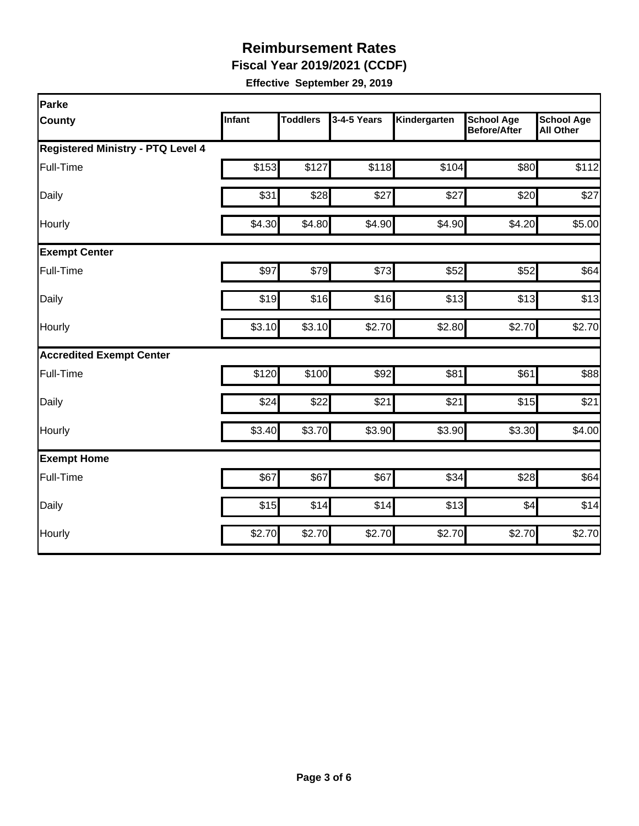**Fiscal Year 2019/2021 (CCDF)**

| Parke                                    |        |                 |             |              |                                          |                                       |  |  |  |
|------------------------------------------|--------|-----------------|-------------|--------------|------------------------------------------|---------------------------------------|--|--|--|
| <b>County</b>                            | Infant | <b>Toddlers</b> | 3-4-5 Years | Kindergarten | <b>School Age</b><br><b>Before/After</b> | <b>School Age</b><br><b>All Other</b> |  |  |  |
| <b>Registered Ministry - PTQ Level 4</b> |        |                 |             |              |                                          |                                       |  |  |  |
| Full-Time                                | \$153  | \$127           | \$118       | \$104        | \$80                                     | \$112                                 |  |  |  |
| Daily                                    | \$31   | \$28            | \$27        | \$27         | \$20                                     | \$27                                  |  |  |  |
| Hourly                                   | \$4.30 | \$4.80          | \$4.90      | \$4.90       | \$4.20                                   | \$5.00                                |  |  |  |
| <b>Exempt Center</b>                     |        |                 |             |              |                                          |                                       |  |  |  |
| Full-Time                                | \$97   | \$79            | \$73        | \$52         | \$52                                     | \$64                                  |  |  |  |
| Daily                                    | \$19   | \$16            | \$16        | \$13         | \$13                                     | \$13                                  |  |  |  |
| Hourly                                   | \$3.10 | \$3.10          | \$2.70      | \$2.80       | \$2.70                                   | \$2.70                                |  |  |  |
| <b>Accredited Exempt Center</b>          |        |                 |             |              |                                          |                                       |  |  |  |
| Full-Time                                | \$120  | \$100           | \$92        | \$81         | \$61                                     | \$88                                  |  |  |  |
| Daily                                    | \$24   | \$22            | \$21        | \$21         | \$15                                     | \$21                                  |  |  |  |
| Hourly                                   | \$3.40 | \$3.70          | \$3.90      | \$3.90       | \$3.30                                   | \$4.00                                |  |  |  |
| <b>Exempt Home</b>                       |        |                 |             |              |                                          |                                       |  |  |  |
| Full-Time                                | \$67   | \$67            | \$67        | \$34         | \$28                                     | \$64                                  |  |  |  |
| Daily                                    | \$15   | \$14            | \$14        | \$13         | \$4                                      | \$14                                  |  |  |  |
| Hourly                                   | \$2.70 | \$2.70          | \$2.70      | \$2.70       | \$2.70                                   | \$2.70                                |  |  |  |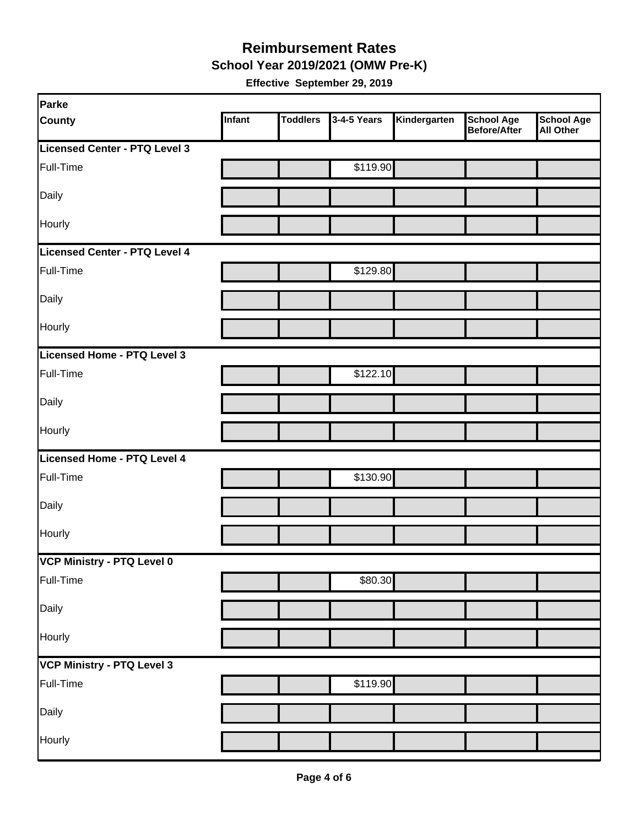**School Year 2019/2021 (OMW Pre-K)**

| Parke                         |        |                 |             |              |                                   |                         |
|-------------------------------|--------|-----------------|-------------|--------------|-----------------------------------|-------------------------|
| <b>County</b>                 | Infant | <b>Toddlers</b> | 3-4-5 Years | Kindergarten | <b>School Age</b><br>Before/After | School Age<br>All Other |
| Licensed Center - PTQ Level 3 |        |                 |             |              |                                   |                         |
| Full-Time                     |        |                 | \$119.90    |              |                                   |                         |
| Daily                         |        |                 |             |              |                                   |                         |
| Hourly                        |        |                 |             |              |                                   |                         |
| Licensed Center - PTQ Level 4 |        |                 |             |              |                                   |                         |
| Full-Time                     |        |                 | \$129.80    |              |                                   |                         |
| Daily                         |        |                 |             |              |                                   |                         |
| Hourly                        |        |                 |             |              |                                   |                         |
| Licensed Home - PTQ Level 3   |        |                 |             |              |                                   |                         |
| Full-Time                     |        |                 | \$122.10    |              |                                   |                         |
| Daily                         |        |                 |             |              |                                   |                         |
| Hourly                        |        |                 |             |              |                                   |                         |
| Licensed Home - PTQ Level 4   |        |                 |             |              |                                   |                         |
| Full-Time                     |        |                 | \$130.90    |              |                                   |                         |
| Daily                         |        |                 |             |              |                                   |                         |
| Hourly                        |        |                 |             |              |                                   |                         |
| VCP Ministry - PTQ Level 0    |        |                 |             |              |                                   |                         |
| Full-Time                     |        |                 | \$80.30     |              |                                   |                         |
| Daily                         |        |                 |             |              |                                   |                         |
| Hourly                        |        |                 |             |              |                                   |                         |
| VCP Ministry - PTQ Level 3    |        |                 |             |              |                                   |                         |
| Full-Time                     |        |                 | \$119.90    |              |                                   |                         |
| Daily                         |        |                 |             |              |                                   |                         |
| Hourly                        |        |                 |             |              |                                   |                         |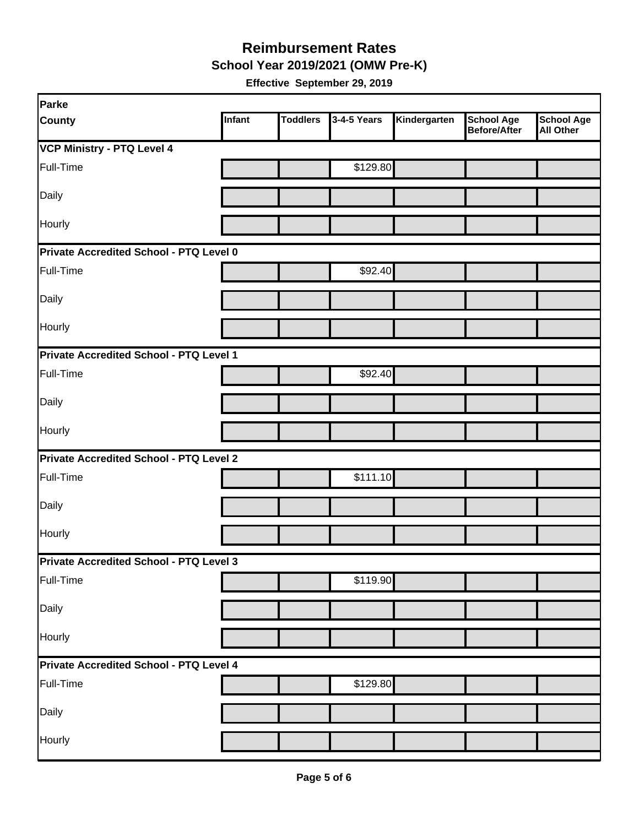**School Year 2019/2021 (OMW Pre-K)**

| Parke                                          |        |                 |             |              |                                   |                                       |
|------------------------------------------------|--------|-----------------|-------------|--------------|-----------------------------------|---------------------------------------|
| <b>County</b>                                  | Infant | <b>Toddlers</b> | 3-4-5 Years | Kindergarten | <b>School Age</b><br>Before/After | <b>School Age</b><br><b>All Other</b> |
| <b>VCP Ministry - PTQ Level 4</b>              |        |                 |             |              |                                   |                                       |
| Full-Time                                      |        |                 | \$129.80    |              |                                   |                                       |
| Daily                                          |        |                 |             |              |                                   |                                       |
| Hourly                                         |        |                 |             |              |                                   |                                       |
| Private Accredited School - PTQ Level 0        |        |                 |             |              |                                   |                                       |
| Full-Time                                      |        |                 | \$92.40     |              |                                   |                                       |
| Daily                                          |        |                 |             |              |                                   |                                       |
| Hourly                                         |        |                 |             |              |                                   |                                       |
| Private Accredited School - PTQ Level 1        |        |                 |             |              |                                   |                                       |
| Full-Time                                      |        |                 | \$92.40     |              |                                   |                                       |
| Daily                                          |        |                 |             |              |                                   |                                       |
| Hourly                                         |        |                 |             |              |                                   |                                       |
| <b>Private Accredited School - PTQ Level 2</b> |        |                 |             |              |                                   |                                       |
| Full-Time                                      |        |                 | \$111.10    |              |                                   |                                       |
| Daily                                          |        |                 |             |              |                                   |                                       |
| Hourly                                         |        |                 |             |              |                                   |                                       |
| Private Accredited School - PTQ Level 3        |        |                 |             |              |                                   |                                       |
| Full-Time                                      |        |                 | \$119.90    |              |                                   |                                       |
| Daily                                          |        |                 |             |              |                                   |                                       |
| Hourly                                         |        |                 |             |              |                                   |                                       |
| Private Accredited School - PTQ Level 4        |        |                 |             |              |                                   |                                       |
| Full-Time                                      |        |                 | \$129.80    |              |                                   |                                       |
| Daily                                          |        |                 |             |              |                                   |                                       |
| Hourly                                         |        |                 |             |              |                                   |                                       |